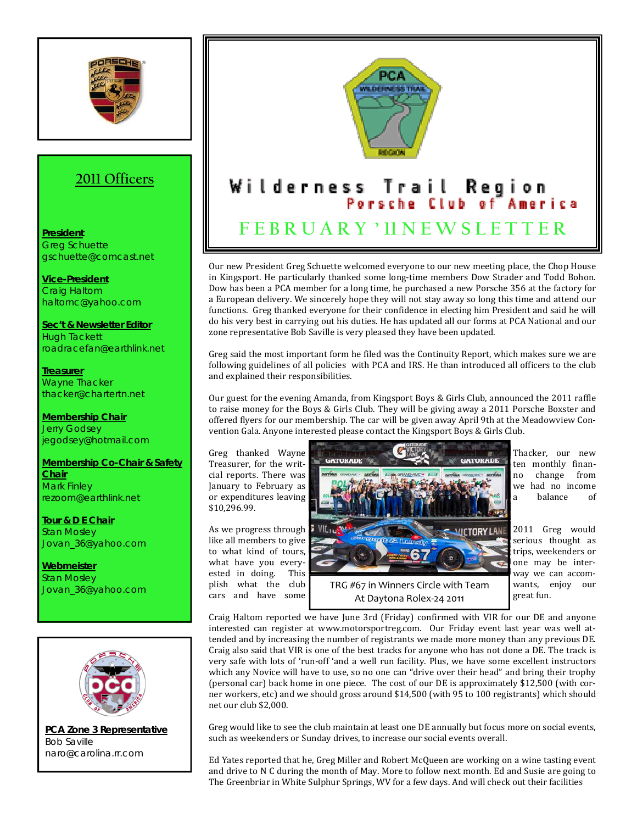

## **2011 Officers**

## **President** Greg Schuette gschuette@comcast.net

**Vice-President** Craig Haltom haltomc@yahoo.com

**Sec't & Newsletter Editor** Hugh Tackett roadracefan@earthlink.net

**Treasurer** Wayne Thacker thacker@chartertn.net

**Membership Chair** Jerry Godsey jegodsey@hotmail.com

**Membership Co-Chair & Safety Chair** Mark Finley rezoom@earthlink.net

**Tour & D E Chair** Stan Mosley Jovan\_36@yahoo.com

**Webmeister** Stan Mosley Jovan\_36@yahoo.com



**PCA Zone 3 Representative** Bob Saville naro@carolina.rr.com



Our new President Greg Schuette welcomed everyone to our new meeting place, the Chop House in Kingsport. He particularly thanked some long-time members Dow Strader and Todd Bohon. Dow has been a PCA member for a long time, he purchased a new Porsche 356 at the factory for a European delivery. We sincerely hope they will not stay away so long this time and attend our functions. Greg thanked everyone for their confidence in electing him President and said he will do his very best in carrying out his duties. He has updated all our forms at PCA National and our zone representative Bob Saville is very pleased they have been updated.

Greg said the most important form he filed was the Continuity Report, which makes sure we are following guidelines of all policies with PCA and IRS. He than introduced all officers to the club and explained their responsibilities.

Our guest for the evening Amanda, from Kingsport Boys & Girls Club, announced the 2011 raffle to raise money for the Boys & Girls Club. They will be giving away a 2011 Porsche Boxster and offered flyers for our membership. The car will be given away April 9th at the Meadowview Con‐ vention Gala. Anyone interested please contact the Kingsport Boys & Girls Club.

\$10,296.99.



cars and have some **and At Daytona Rolex-24 2011** great fun.

Craig Haltom reported we have June 3rd (Friday) confirmed with VIR for our DE and anyone interested can register at www.motorsportreg.com. Our Friday event last year was well attended and by increasing the number of registrants we made more money than any previous DE. Craig also said that VIR is one of the best tracks for anyone who has not done a DE. The track is very safe with lots of 'run‐off 'and a well run facility. Plus, we have some excellent instructors which any Novice will have to use, so no one can "drive over their head" and bring their trophy (personal car) back home in one piece. The cost of our DE is approximately \$12,500 (with cor‐ ner workers, etc) and we should gross around \$14,500 (with 95 to 100 registrants) which should net our club \$2,000.

Greg would like to see the club maintain at least one DE annually but focus more on social events, such as weekenders or Sunday drives, to increase our social events overall.

Ed Yates reported that he, Greg Miller and Robert McQueen are working on a wine tasting event and drive to N C during the month of May. More to follow next month. Ed and Susie are going to The Greenbriar in White Sulphur Springs, WV for a few days. And will check out their facilities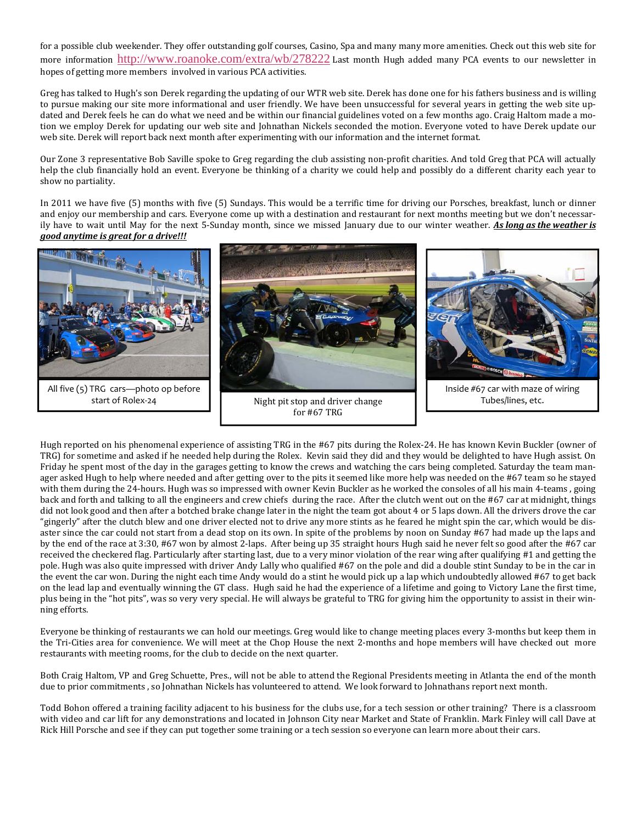for a possible club weekender. They offer outstanding golf courses, Casino, Spa and many many more amenities. Check out this web site for more information http://www.roanoke.com/extra/wb/278222 Last month Hugh added many PCA events to our newsletter in hopes of getting more members involved in various PCA activities.

Greg has talked to Hugh's son Derek regarding the updating of our WTR web site. Derek has done one for his fathers business and is willing to pursue making our site more informational and user friendly. We have been unsuccessful for several years in getting the web site up‐ dated and Derek feels he can do what we need and be within our financial guidelines voted on a few months ago. Craig Haltom made a motion we employ Derek for updating our web site and Johnathan Nickels seconded the motion. Everyone voted to have Derek update our web site. Derek will report back next month after experimenting with our information and the internet format.

Our Zone 3 representative Bob Saville spoke to Greg regarding the club assisting non‐profit charities. And told Greg that PCA will actually help the club financially hold an event. Everyone be thinking of a charity we could help and possibly do a different charity each year to show no partiality.

In 2011 we have five (5) months with five (5) Sundays. This would be a terrific time for driving our Porsches, breakfast, lunch or dinner and enjoy our membership and cars. Everyone come up with a destination and restaurant for next months meeting but we don't necessarily have to wait until May for the next 5‐Sunday month, since we missed January due to our winter weather. *As long as the weather is good anytime is great for a drive!!!*



Hugh reported on his phenomenal experience of assisting TRG in the #67 pits during the Rolex‐24. He has known Kevin Buckler (owner of TRG) for sometime and asked if he needed help during the Rolex. Kevin said they did and they would be delighted to have Hugh assist. On Friday he spent most of the day in the garages getting to know the crews and watching the cars being completed. Saturday the team manager asked Hugh to help where needed and after getting over to the pits it seemed like more help was needed on the #67 team so he stayed with them during the 24‐hours. Hugh was so impressed with owner Kevin Buckler as he worked the consoles of all his main 4‐teams , going back and forth and talking to all the engineers and crew chiefs during the race. After the clutch went out on the #67 car at midnight, things did not look good and then after a botched brake change later in the night the team got about 4 or 5 laps down. All the drivers drove the car "gingerly" after the clutch blew and one driver elected not to drive any more stints as he feared he might spin the car, which would be dis‐ aster since the car could not start from a dead stop on its own. In spite of the problems by noon on Sunday #67 had made up the laps and by the end of the race at 3:30, #67 won by almost 2‐laps. After being up 35 straight hours Hugh said he never felt so good after the #67 car received the checkered flag. Particularly after starting last, due to a very minor violation of the rear wing after qualifying #1 and getting the pole. Hugh was also quite impressed with driver Andy Lally who qualified #67 on the pole and did a double stint Sunday to be in the car in the event the car won. During the night each time Andy would do a stint he would pick up a lap which undoubtedly allowed #67 to get back on the lead lap and eventually winning the GT class. Hugh said he had the experience of a lifetime and going to Victory Lane the first time, plus being in the "hot pits", was so very very special. He will always be grateful to TRG for giving him the opportunity to assist in their win‐ ning efforts.

Everyone be thinking of restaurants we can hold our meetings. Greg would like to change meeting places every 3‐months but keep them in the Tri-Cities area for convenience. We will meet at the Chop House the next 2-months and hope members will have checked out more restaurants with meeting rooms, for the club to decide on the next quarter.

Both Craig Haltom, VP and Greg Schuette, Pres., will not be able to attend the Regional Presidents meeting in Atlanta the end of the month due to prior commitments , so Johnathan Nickels has volunteered to attend. We look forward to Johnathans report next month.

Todd Bohon offered a training facility adjacent to his business for the clubs use, for a tech session or other training? There is a classroom with video and car lift for any demonstrations and located in Johnson City near Market and State of Franklin. Mark Finley will call Dave at Rick Hill Porsche and see if they can put together some training or a tech session so everyone can learn more about their cars.